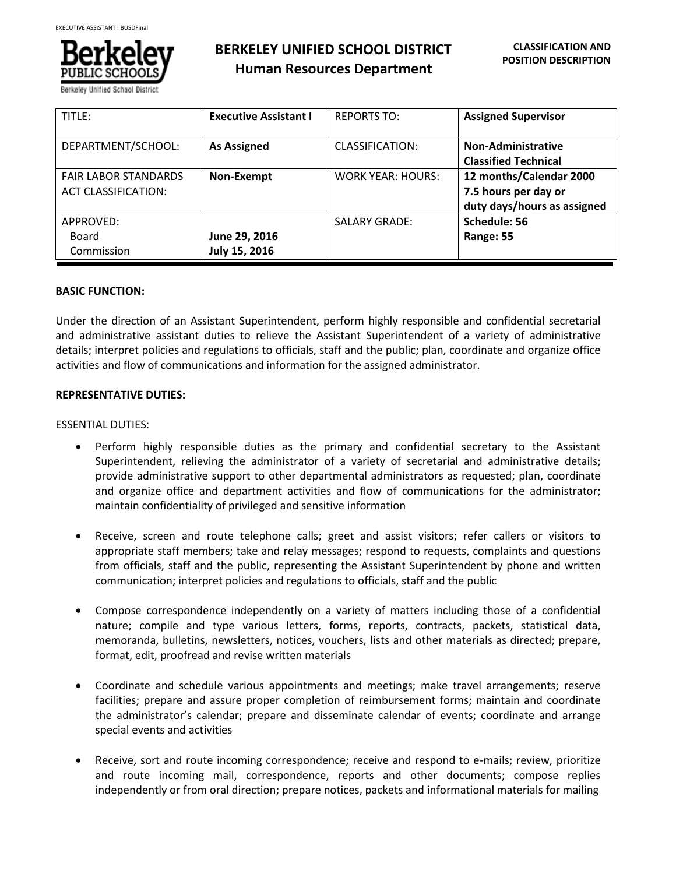

**BERKELEY UNIFIED SCHOOL DISTRICT Human Resources Department**

| TITLE:                      | <b>Executive Assistant I</b> | <b>REPORTS TO:</b>       | <b>Assigned Supervisor</b>  |
|-----------------------------|------------------------------|--------------------------|-----------------------------|
| DEPARTMENT/SCHOOL:          | <b>As Assigned</b>           | CLASSIFICATION:          | <b>Non-Administrative</b>   |
|                             |                              |                          | <b>Classified Technical</b> |
| <b>FAIR LABOR STANDARDS</b> | Non-Exempt                   | <b>WORK YEAR: HOURS:</b> | 12 months/Calendar 2000     |
| <b>ACT CLASSIFICATION:</b>  |                              |                          | 7.5 hours per day or        |
|                             |                              |                          | duty days/hours as assigned |
| APPROVED:                   |                              | <b>SALARY GRADE:</b>     | Schedule: 56                |
| Board                       | June 29, 2016                |                          | Range: 55                   |
| Commission                  | July 15, 2016                |                          |                             |

# **BASIC FUNCTION:**

Under the direction of an Assistant Superintendent, perform highly responsible and confidential secretarial and administrative assistant duties to relieve the Assistant Superintendent of a variety of administrative details; interpret policies and regulations to officials, staff and the public; plan, coordinate and organize office activities and flow of communications and information for the assigned administrator.

# **REPRESENTATIVE DUTIES:**

# ESSENTIAL DUTIES:

- Perform highly responsible duties as the primary and confidential secretary to the Assistant Superintendent, relieving the administrator of a variety of secretarial and administrative details; provide administrative support to other departmental administrators as requested; plan, coordinate and organize office and department activities and flow of communications for the administrator; maintain confidentiality of privileged and sensitive information
- Receive, screen and route telephone calls; greet and assist visitors; refer callers or visitors to appropriate staff members; take and relay messages; respond to requests, complaints and questions from officials, staff and the public, representing the Assistant Superintendent by phone and written communication; interpret policies and regulations to officials, staff and the public
- Compose correspondence independently on a variety of matters including those of a confidential nature; compile and type various letters, forms, reports, contracts, packets, statistical data, memoranda, bulletins, newsletters, notices, vouchers, lists and other materials as directed; prepare, format, edit, proofread and revise written materials
- Coordinate and schedule various appointments and meetings; make travel arrangements; reserve facilities; prepare and assure proper completion of reimbursement forms; maintain and coordinate the administrator's calendar; prepare and disseminate calendar of events; coordinate and arrange special events and activities
- Receive, sort and route incoming correspondence; receive and respond to e-mails; review, prioritize and route incoming mail, correspondence, reports and other documents; compose replies independently or from oral direction; prepare notices, packets and informational materials for mailing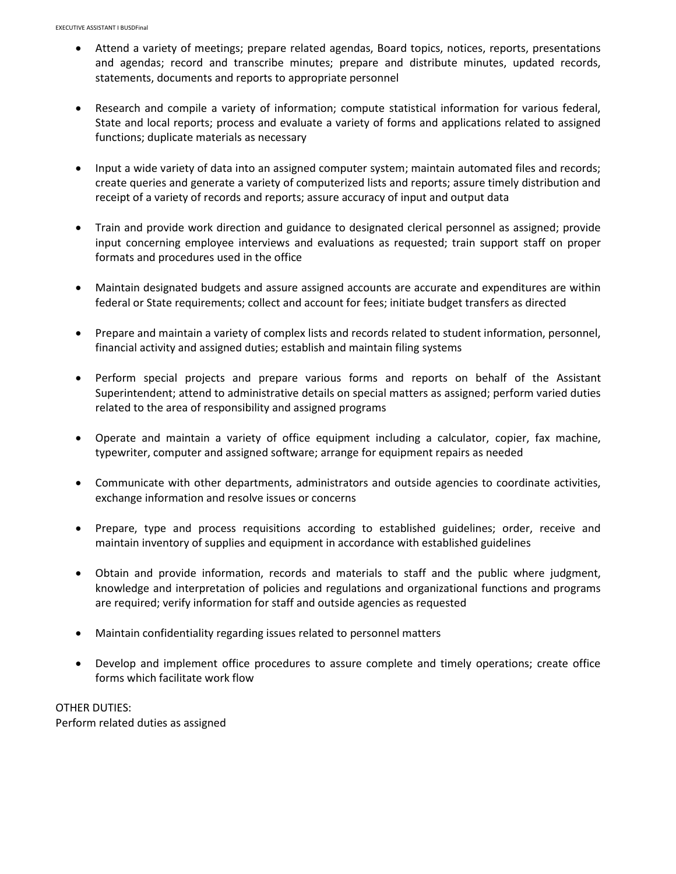- Attend a variety of meetings; prepare related agendas, Board topics, notices, reports, presentations and agendas; record and transcribe minutes; prepare and distribute minutes, updated records, statements, documents and reports to appropriate personnel
- Research and compile a variety of information; compute statistical information for various federal, State and local reports; process and evaluate a variety of forms and applications related to assigned functions; duplicate materials as necessary
- Input a wide variety of data into an assigned computer system; maintain automated files and records; create queries and generate a variety of computerized lists and reports; assure timely distribution and receipt of a variety of records and reports; assure accuracy of input and output data
- Train and provide work direction and guidance to designated clerical personnel as assigned; provide input concerning employee interviews and evaluations as requested; train support staff on proper formats and procedures used in the office
- Maintain designated budgets and assure assigned accounts are accurate and expenditures are within federal or State requirements; collect and account for fees; initiate budget transfers as directed
- Prepare and maintain a variety of complex lists and records related to student information, personnel, financial activity and assigned duties; establish and maintain filing systems
- Perform special projects and prepare various forms and reports on behalf of the Assistant Superintendent; attend to administrative details on special matters as assigned; perform varied duties related to the area of responsibility and assigned programs
- Operate and maintain a variety of office equipment including a calculator, copier, fax machine, typewriter, computer and assigned software; arrange for equipment repairs as needed
- Communicate with other departments, administrators and outside agencies to coordinate activities, exchange information and resolve issues or concerns
- Prepare, type and process requisitions according to established guidelines; order, receive and maintain inventory of supplies and equipment in accordance with established guidelines
- Obtain and provide information, records and materials to staff and the public where judgment, knowledge and interpretation of policies and regulations and organizational functions and programs are required; verify information for staff and outside agencies as requested
- Maintain confidentiality regarding issues related to personnel matters
- Develop and implement office procedures to assure complete and timely operations; create office forms which facilitate work flow

OTHER DUTIES: Perform related duties as assigned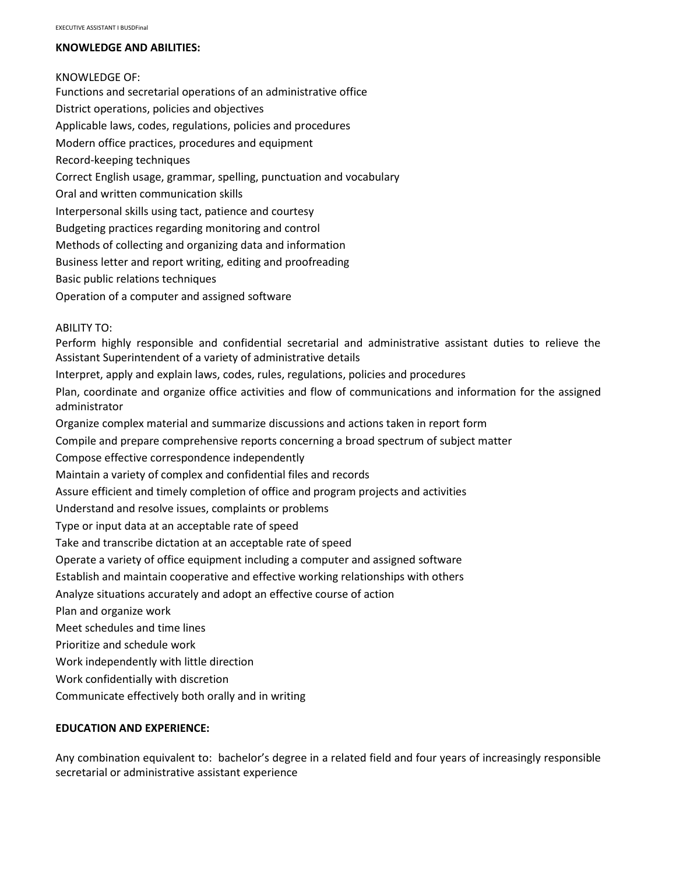# **KNOWLEDGE AND ABILITIES:**

#### KNOWLEDGE OF:

Functions and secretarial operations of an administrative office District operations, policies and objectives Applicable laws, codes, regulations, policies and procedures Modern office practices, procedures and equipment Record-keeping techniques Correct English usage, grammar, spelling, punctuation and vocabulary Oral and written communication skills Interpersonal skills using tact, patience and courtesy Budgeting practices regarding monitoring and control Methods of collecting and organizing data and information Business letter and report writing, editing and proofreading Basic public relations techniques Operation of a computer and assigned software

# ABILITY TO:

Perform highly responsible and confidential secretarial and administrative assistant duties to relieve the Assistant Superintendent of a variety of administrative details

Interpret, apply and explain laws, codes, rules, regulations, policies and procedures

Plan, coordinate and organize office activities and flow of communications and information for the assigned administrator

Organize complex material and summarize discussions and actions taken in report form

Compile and prepare comprehensive reports concerning a broad spectrum of subject matter

Compose effective correspondence independently

Maintain a variety of complex and confidential files and records

Assure efficient and timely completion of office and program projects and activities

Understand and resolve issues, complaints or problems

Type or input data at an acceptable rate of speed

Take and transcribe dictation at an acceptable rate of speed

Operate a variety of office equipment including a computer and assigned software

Establish and maintain cooperative and effective working relationships with others

Analyze situations accurately and adopt an effective course of action

Plan and organize work

Meet schedules and time lines

Prioritize and schedule work

Work independently with little direction

Work confidentially with discretion

Communicate effectively both orally and in writing

# **EDUCATION AND EXPERIENCE:**

Any combination equivalent to: bachelor's degree in a related field and four years of increasingly responsible secretarial or administrative assistant experience